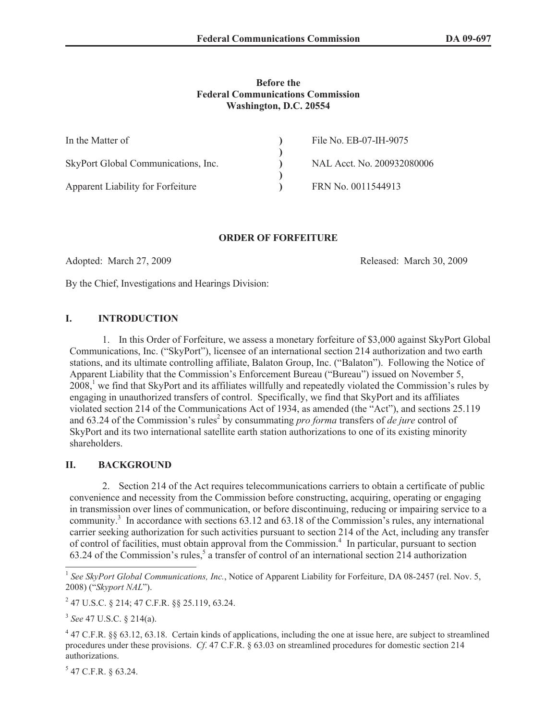## **Before the Federal Communications Commission Washington, D.C. 20554**

| In the Matter of                    | File No. EB-07-IH-9075     |
|-------------------------------------|----------------------------|
|                                     |                            |
| SkyPort Global Communications, Inc. | NAL Acct. No. 200932080006 |
|                                     |                            |
| Apparent Liability for Forfeiture   | FRN No. 0011544913         |

# **ORDER OF FORFEITURE**

Adopted: March 27, 2009 **Released: March 30, 2009** Released: March 30, 2009

By the Chief, Investigations and Hearings Division:

# **I. INTRODUCTION**

1. In this Order of Forfeiture, we assess a monetary forfeiture of \$3,000 against SkyPort Global Communications, Inc. ("SkyPort"), licensee of an international section 214 authorization and two earth stations, and its ultimate controlling affiliate, Balaton Group, Inc. ("Balaton"). Following the Notice of Apparent Liability that the Commission's Enforcement Bureau ("Bureau") issued on November 5, 2008,<sup>1</sup> we find that SkyPort and its affiliates willfully and repeatedly violated the Commission's rules by engaging in unauthorized transfers of control. Specifically, we find that SkyPort and its affiliates violated section 214 of the Communications Act of 1934, as amended (the "Act"), and sections 25.119 and 63.24 of the Commission's rules<sup>2</sup> by consummating *pro forma* transfers of *de jure* control of SkyPort and its two international satellite earth station authorizations to one of its existing minority shareholders.

# **II. BACKGROUND**

2. Section 214 of the Act requires telecommunications carriers to obtain a certificate of public convenience and necessity from the Commission before constructing, acquiring, operating or engaging in transmission over lines of communication, or before discontinuing, reducing or impairing service to a community.<sup>3</sup> In accordance with sections 63.12 and 63.18 of the Commission's rules, any international carrier seeking authorization for such activities pursuant to section 214 of the Act, including any transfer of control of facilities, must obtain approval from the Commission.<sup>4</sup> In particular, pursuant to section 63.24 of the Commission's rules,<sup>5</sup> a transfer of control of an international section 214 authorization

 $5$  47 C.F.R. § 63.24.

<sup>&</sup>lt;sup>1</sup> See SkyPort Global Communications, Inc., Notice of Apparent Liability for Forfeiture, DA 08-2457 (rel. Nov. 5, 2008) ("*Skyport NAL*").

<sup>2</sup> 47 U.S.C. § 214; 47 C.F.R. §§ 25.119, 63.24.

<sup>3</sup> *See* 47 U.S.C. § 214(a).

 $4$  47 C.F.R. §§ 63.12, 63.18. Certain kinds of applications, including the one at issue here, are subject to streamlined procedures under these provisions. *Cf*. 47 C.F.R. § 63.03 on streamlined procedures for domestic section 214 authorizations.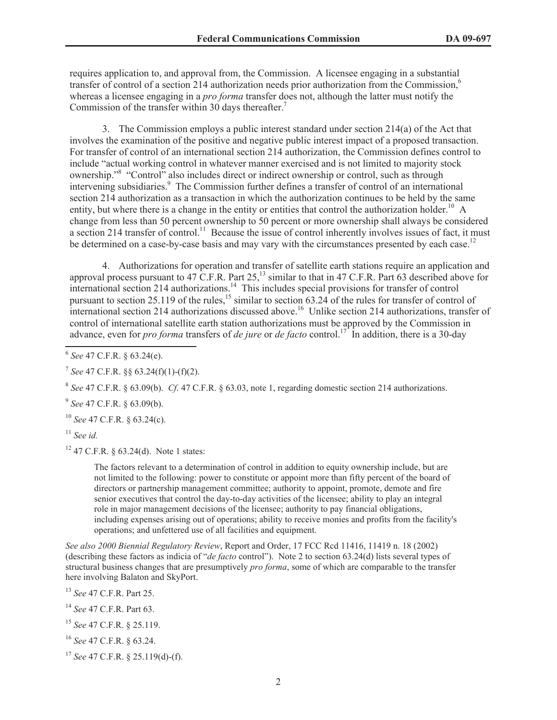requires application to, and approval from, the Commission. A licensee engaging in a substantial transfer of control of a section 214 authorization needs prior authorization from the Commission,<sup>6</sup> whereas a licensee engaging in a *pro forma* transfer does not, although the latter must notify the Commission of the transfer within 30 days thereafter.<sup>7</sup>

3. The Commission employs a public interest standard under section 214(a) of the Act that involves the examination of the positive and negative public interest impact of a proposed transaction. For transfer of control of an international section 214 authorization, the Commission defines control to include "actual working control in whatever manner exercised and is not limited to majority stock ownership."<sup>8</sup> "Control" also includes direct or indirect ownership or control, such as through intervening subsidiaries.<sup>9</sup> The Commission further defines a transfer of control of an international section 214 authorization as a transaction in which the authorization continues to be held by the same entity, but where there is a change in the entity or entities that control the authorization holder.<sup>10</sup> A change from less than 50 percent ownership to 50 percent or more ownership shall always be considered a section 214 transfer of control.<sup>11</sup> Because the issue of control inherently involves issues of fact, it must be determined on a case-by-case basis and may vary with the circumstances presented by each case.<sup>12</sup>

4. Authorizations for operation and transfer of satellite earth stations require an application and approval process pursuant to 47 C.F.R. Part 25,<sup>13</sup> similar to that in 47 C.F.R. Part 63 described above for international section 214 authorizations.<sup>14</sup> This includes special provisions for transfer of control pursuant to section 25.119 of the rules,<sup>15</sup> similar to section 63.24 of the rules for transfer of control of international section 214 authorizations discussed above.<sup>16</sup> Unlike section 214 authorizations, transfer of control of international satellite earth station authorizations must be approved by the Commission in advance, even for *pro forma* transfers of *de jure* or *de facto* control.<sup>17</sup> In addition, there is a 30-day

7 *See* 47 C.F.R. §§ 63.24(f)(1)-(f)(2).

8 *See* 47 C.F.R. § 63.09(b). *Cf*. 47 C.F.R. § 63.03, note 1, regarding domestic section 214 authorizations.

9 *See* 47 C.F.R. § 63.09(b).

<sup>10</sup> *See* 47 C.F.R. § 63.24(c).

<sup>11</sup> *See id.*

 $12$  47 C.F.R. § 63.24(d). Note 1 states:

The factors relevant to a determination of control in addition to equity ownership include, but are not limited to the following: power to constitute or appoint more than fifty percent of the board of directors or partnership management committee; authority to appoint, promote, demote and fire senior executives that control the day-to-day activities of the licensee; ability to play an integral role in major management decisions of the licensee; authority to pay financial obligations, including expenses arising out of operations; ability to receive monies and profits from the facility's operations; and unfettered use of all facilities and equipment.

*See also 2000 Biennial Regulatory Review*, Report and Order, 17 FCC Rcd 11416, 11419 n. 18 (2002) (describing these factors as indicia of "*de facto* control"). Note 2 to section 63.24(d) lists several types of structural business changes that are presumptively *pro forma*, some of which are comparable to the transfer here involving Balaton and SkyPort.

<sup>13</sup> *See* 47 C.F.R. Part 25.

<sup>14</sup> *See* 47 C.F.R. Part 63.

<sup>6</sup> *See* 47 C.F.R. § 63.24(e).

<sup>15</sup> *See* 47 C.F.R. § 25.119.

<sup>16</sup> *See* 47 C.F.R. § 63.24.

<sup>17</sup> *See* 47 C.F.R. § 25.119(d)-(f).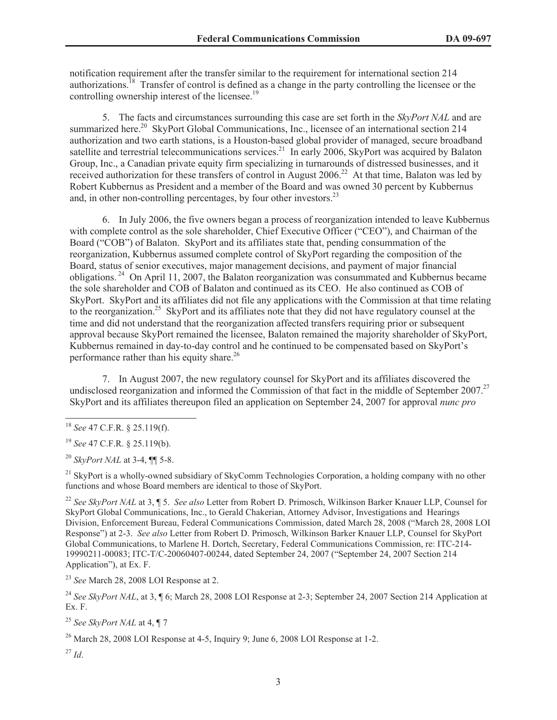notification requirement after the transfer similar to the requirement for international section 214 authorizations.<sup>18</sup> Transfer of control is defined as a change in the party controlling the licensee or the controlling ownership interest of the licensee.<sup>19</sup>

5. The facts and circumstances surrounding this case are set forth in the *SkyPort NAL* and are summarized here.<sup>20</sup> SkyPort Global Communications, Inc., licensee of an international section 214 authorization and two earth stations, is a Houston-based global provider of managed, secure broadband satellite and terrestrial telecommunications services.<sup>21</sup> In early 2006, SkyPort was acquired by Balaton Group, Inc., a Canadian private equity firm specializing in turnarounds of distressed businesses, and it received authorization for these transfers of control in August 2006.<sup>22</sup> At that time, Balaton was led by Robert Kubbernus as President and a member of the Board and was owned 30 percent by Kubbernus and, in other non-controlling percentages, by four other investors.<sup>23</sup>

6. In July 2006, the five owners began a process of reorganization intended to leave Kubbernus with complete control as the sole shareholder, Chief Executive Officer ("CEO"), and Chairman of the Board ("COB") of Balaton. SkyPort and its affiliates state that, pending consummation of the reorganization, Kubbernus assumed complete control of SkyPort regarding the composition of the Board, status of senior executives, major management decisions, and payment of major financial obligations. <sup>24</sup> On April 11, 2007, the Balaton reorganization was consummated and Kubbernus became the sole shareholder and COB of Balaton and continued as its CEO. He also continued as COB of SkyPort. SkyPort and its affiliates did not file any applications with the Commission at that time relating to the reorganization.<sup>25</sup> SkyPort and its affiliates note that they did not have regulatory counsel at the time and did not understand that the reorganization affected transfers requiring prior or subsequent approval because SkyPort remained the licensee, Balaton remained the majority shareholder of SkyPort, Kubbernus remained in day-to-day control and he continued to be compensated based on SkyPort's performance rather than his equity share.<sup>26</sup>

7. In August 2007, the new regulatory counsel for SkyPort and its affiliates discovered the undisclosed reorganization and informed the Commission of that fact in the middle of September 2007.<sup>27</sup> SkyPort and its affiliates thereupon filed an application on September 24, 2007 for approval *nunc pro* 

<sup>21</sup> SkyPort is a wholly-owned subsidiary of SkyComm Technologies Corporation, a holding company with no other functions and whose Board members are identical to those of SkyPort.

<sup>22</sup> *See SkyPort NAL* at 3, ¶ 5. *See also* Letter from Robert D. Primosch, Wilkinson Barker Knauer LLP, Counsel for SkyPort Global Communications, Inc., to Gerald Chakerian, Attorney Advisor, Investigations and Hearings Division, Enforcement Bureau, Federal Communications Commission, dated March 28, 2008 ("March 28, 2008 LOI Response") at 2-3. *See also* Letter from Robert D. Primosch, Wilkinson Barker Knauer LLP, Counsel for SkyPort Global Communications, to Marlene H. Dortch, Secretary, Federal Communications Commission, re: ITC-214- 19990211-00083; ITC-T/C-20060407-00244, dated September 24, 2007 ("September 24, 2007 Section 214 Application"), at Ex. F.

<sup>23</sup> *See* March 28, 2008 LOI Response at 2.

<sup>24</sup> See SkyPort NAL, at 3, ¶ 6; March 28, 2008 LOI Response at 2-3; September 24, 2007 Section 214 Application at Ex. F.

<sup>25</sup> *See SkyPort NAL* at 4, ¶ 7

<sup>26</sup> March 28, 2008 LOI Response at 4-5, Inquiry 9; June 6, 2008 LOI Response at 1-2.

<sup>27</sup> *Id*.

<sup>18</sup> *See* 47 C.F.R. § 25.119(f).

<sup>19</sup> *See* 47 C.F.R. § 25.119(b).

<sup>20</sup> *SkyPort NAL* at 3-4, ¶¶ 5-8.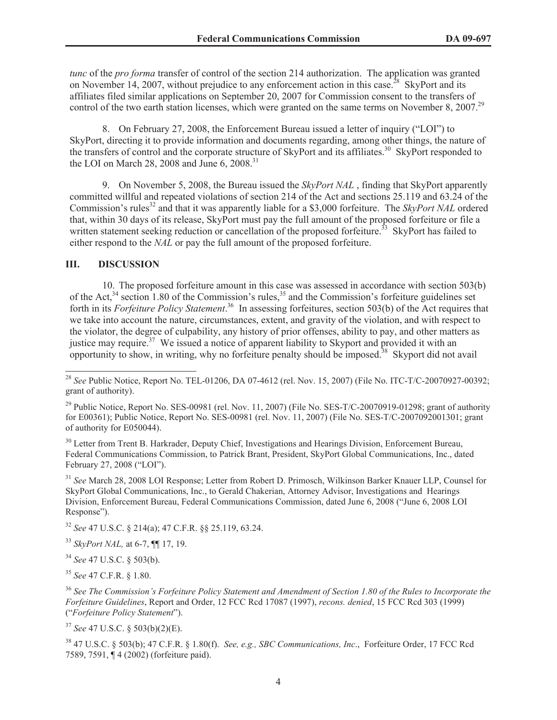*tunc* of the *pro forma* transfer of control of the section 214 authorization. The application was granted on November 14, 2007, without prejudice to any enforcement action in this case.<sup>28</sup> SkyPort and its affiliates filed similar applications on September 20, 2007 for Commission consent to the transfers of control of the two earth station licenses, which were granted on the same terms on November 8, 2007.<sup>29</sup>

8. On February 27, 2008, the Enforcement Bureau issued a letter of inquiry ("LOI") to SkyPort, directing it to provide information and documents regarding, among other things, the nature of the transfers of control and the corporate structure of SkyPort and its affiliates.<sup>30</sup> SkyPort responded to the LOI on March 28, 2008 and June 6, 2008.<sup>31</sup>

9. On November 5, 2008, the Bureau issued the *SkyPort NAL* , finding that SkyPort apparently committed willful and repeated violations of section 214 of the Act and sections 25.119 and 63.24 of the Commission's rules<sup>32</sup> and that it was apparently liable for a \$3,000 forfeiture. The *SkyPort NAL* ordered that, within 30 days of its release, SkyPort must pay the full amount of the proposed forfeiture or file a written statement seeking reduction or cancellation of the proposed forfeiture.<sup>33</sup> SkyPort has failed to either respond to the *NAL* or pay the full amount of the proposed forfeiture.

### **III. DISCUSSION**

10. The proposed forfeiture amount in this case was assessed in accordance with section 503(b) of the Act,<sup>34</sup> section 1.80 of the Commission's rules,<sup>35</sup> and the Commission's forfeiture guidelines set forth in its *Forfeiture Policy Statement*.<sup>36</sup> In assessing forfeitures, section 503(b) of the Act requires that we take into account the nature, circumstances, extent, and gravity of the violation, and with respect to the violator, the degree of culpability, any history of prior offenses, ability to pay, and other matters as justice may require.<sup>37</sup> We issued a notice of apparent liability to Skyport and provided it with an opportunity to show, in writing, why no forfeiture penalty should be imposed.<sup>38</sup> Skyport did not avail

<sup>30</sup> Letter from Trent B. Harkrader, Deputy Chief, Investigations and Hearings Division, Enforcement Bureau, Federal Communications Commission, to Patrick Brant, President, SkyPort Global Communications, Inc., dated February 27, 2008 ("LOI").

<sup>31</sup> *See* March 28, 2008 LOI Response; Letter from Robert D. Primosch, Wilkinson Barker Knauer LLP, Counsel for SkyPort Global Communications, Inc., to Gerald Chakerian, Attorney Advisor, Investigations and Hearings Division, Enforcement Bureau, Federal Communications Commission, dated June 6, 2008 ("June 6, 2008 LOI Response").

<sup>32</sup> *See* 47 U.S.C. § 214(a); 47 C.F.R. §§ 25.119, 63.24.

<sup>33</sup> *SkyPort NAL,* at 6-7, ¶¶ 17, 19.

<sup>34</sup> *See* 47 U.S.C. § 503(b).

<sup>35</sup> *See* 47 C.F.R. § 1.80.

<sup>36</sup> *See The Commission's Forfeiture Policy Statement and Amendment of Section 1.80 of the Rules to Incorporate the Forfeiture Guidelines*, Report and Order, 12 FCC Rcd 17087 (1997), *recons. denied*, 15 FCC Rcd 303 (1999) ("*Forfeiture Policy Statement*").

<sup>37</sup> *See* 47 U.S.C. § 503(b)(2)(E).

<sup>38</sup> 47 U.S.C. § 503(b); 47 C.F.R. § 1.80(f). *See, e.g., SBC Communications, Inc*., Forfeiture Order, 17 FCC Rcd 7589, 7591, ¶ 4 (2002) (forfeiture paid).

<sup>&</sup>lt;sup>28</sup> *See* Public Notice, Report No. TEL-01206, DA 07-4612 (rel. Nov. 15, 2007) (File No. ITC-T/C-20070927-00392; grant of authority).

<sup>&</sup>lt;sup>29</sup> Public Notice, Report No. SES-00981 (rel. Nov. 11, 2007) (File No. SES-T/C-20070919-01298; grant of authority for E00361); Public Notice, Report No. SES-00981 (rel. Nov. 11, 2007) (File No. SES-T/C-2007092001301; grant of authority for E050044).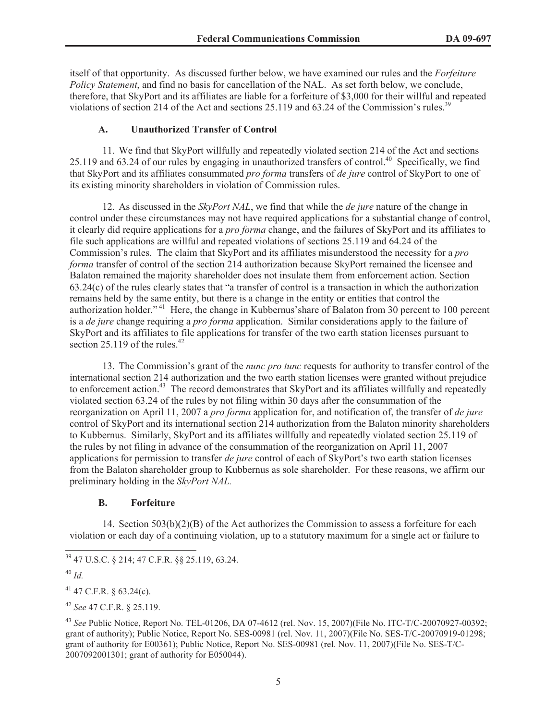itself of that opportunity. As discussed further below, we have examined our rules and the *Forfeiture Policy Statement*, and find no basis for cancellation of the NAL. As set forth below, we conclude, therefore, that SkyPort and its affiliates are liable for a forfeiture of \$3,000 for their willful and repeated violations of section 214 of the Act and sections 25.119 and 63.24 of the Commission's rules.<sup>39</sup>

## **A. Unauthorized Transfer of Control**

11. We find that SkyPort willfully and repeatedly violated section 214 of the Act and sections 25.119 and 63.24 of our rules by engaging in unauthorized transfers of control.<sup>40</sup> Specifically, we find that SkyPort and its affiliates consummated *pro forma* transfers of *de jure* control of SkyPort to one of its existing minority shareholders in violation of Commission rules.

12. As discussed in the *SkyPort NAL*, we find that while the *de jure* nature of the change in control under these circumstances may not have required applications for a substantial change of control, it clearly did require applications for a *pro forma* change, and the failures of SkyPort and its affiliates to file such applications are willful and repeated violations of sections 25.119 and 64.24 of the Commission's rules. The claim that SkyPort and its affiliates misunderstood the necessity for a *pro forma* transfer of control of the section 214 authorization because SkyPort remained the licensee and Balaton remained the majority shareholder does not insulate them from enforcement action. Section 63.24(c) of the rules clearly states that "a transfer of control is a transaction in which the authorization remains held by the same entity, but there is a change in the entity or entities that control the authorization holder."<sup>41</sup> Here, the change in Kubbernus'share of Balaton from 30 percent to 100 percent is a *de jure* change requiring a *pro forma* application. Similar considerations apply to the failure of SkyPort and its affiliates to file applications for transfer of the two earth station licenses pursuant to section 25.119 of the rules.<sup>42</sup>

13. The Commission's grant of the *nunc pro tunc* requests for authority to transfer control of the international section 214 authorization and the two earth station licenses were granted without prejudice to enforcement action.<sup>43</sup> The record demonstrates that SkyPort and its affiliates willfully and repeatedly violated section 63.24 of the rules by not filing within 30 days after the consummation of the reorganization on April 11, 2007 a *pro forma* application for, and notification of, the transfer of *de jure*  control of SkyPort and its international section 214 authorization from the Balaton minority shareholders to Kubbernus. Similarly, SkyPort and its affiliates willfully and repeatedly violated section 25.119 of the rules by not filing in advance of the consummation of the reorganization on April 11, 2007 applications for permission to transfer *de jure* control of each of SkyPort's two earth station licenses from the Balaton shareholder group to Kubbernus as sole shareholder. For these reasons, we affirm our preliminary holding in the *SkyPort NAL.* 

# **B. Forfeiture**

14. Section 503(b)(2)(B) of the Act authorizes the Commission to assess a forfeiture for each violation or each day of a continuing violation, up to a statutory maximum for a single act or failure to

<sup>39</sup> 47 U.S.C. § 214; 47 C.F.R. §§ 25.119, 63.24.

<sup>40</sup> *Id.*

 $41$  47 C.F.R. § 63.24(c).

<sup>42</sup> *See* 47 C.F.R. § 25.119.

<sup>43</sup> *See* Public Notice, Report No. TEL-01206, DA 07-4612 (rel. Nov. 15, 2007)(File No. ITC-T/C-20070927-00392; grant of authority); Public Notice, Report No. SES-00981 (rel. Nov. 11, 2007)(File No. SES-T/C-20070919-01298; grant of authority for E00361); Public Notice, Report No. SES-00981 (rel. Nov. 11, 2007)(File No. SES-T/C-2007092001301; grant of authority for E050044).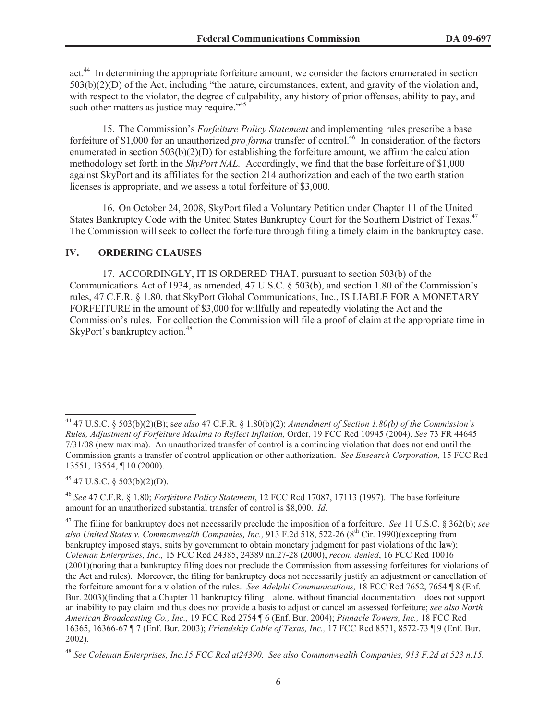act.<sup>44</sup> In determining the appropriate forfeiture amount, we consider the factors enumerated in section 503(b)(2)(D) of the Act, including "the nature, circumstances, extent, and gravity of the violation and, with respect to the violator, the degree of culpability, any history of prior offenses, ability to pay, and such other matters as justice may require."<sup>45</sup>

15. The Commission's *Forfeiture Policy Statement* and implementing rules prescribe a base forfeiture of \$1,000 for an unauthorized *pro forma* transfer of control.<sup>46</sup> In consideration of the factors enumerated in section 503(b)(2)(D) for establishing the forfeiture amount, we affirm the calculation methodology set forth in the *SkyPort NAL.* Accordingly, we find that the base forfeiture of \$1,000 against SkyPort and its affiliates for the section 214 authorization and each of the two earth station licenses is appropriate, and we assess a total forfeiture of \$3,000.

16. On October 24, 2008, SkyPort filed a Voluntary Petition under Chapter 11 of the United States Bankruptcy Code with the United States Bankruptcy Court for the Southern District of Texas.<sup>47</sup> The Commission will seek to collect the forfeiture through filing a timely claim in the bankruptcy case.

## **IV. ORDERING CLAUSES**

17. ACCORDINGLY, IT IS ORDERED THAT, pursuant to section 503(b) of the Communications Act of 1934, as amended, 47 U.S.C. § 503(b), and section 1.80 of the Commission's rules, 47 C.F.R. § 1.80, that SkyPort Global Communications, Inc., IS LIABLE FOR A MONETARY FORFEITURE in the amount of \$3,000 for willfully and repeatedly violating the Act and the Commission's rules. For collection the Commission will file a proof of claim at the appropriate time in SkyPort's bankruptcy action.<sup>48</sup>

 $45$  47 U.S.C. § 503(b)(2)(D).

<sup>44</sup> 47 U.S.C. § 503(b)(2)(B); s*ee also* 47 C.F.R. § 1.80(b)(2); *Amendment of Section 1.80(b) of the Commission's Rules, Adjustment of Forfeiture Maxima to Reflect Inflation,* Order, 19 FCC Rcd 10945 (2004). *See* 73 FR 44645 7/31/08 (new maxima). An unauthorized transfer of control is a continuing violation that does not end until the Commission grants a transfer of control application or other authorization. *See Ensearch Corporation,* 15 FCC Rcd 13551, 13554, ¶ 10 (2000).

<sup>46</sup> *See* 47 C.F.R. § 1.80; *Forfeiture Policy Statement*, 12 FCC Rcd 17087, 17113 (1997). The base forfeiture amount for an unauthorized substantial transfer of control is \$8,000. *Id*.

<sup>47</sup> The filing for bankruptcy does not necessarily preclude the imposition of a forfeiture. *See* 11 U.S.C. § 362(b); *see also United States v. Commonwealth Companies, Inc., 913 F.2d 518, 522-26 (8<sup>th</sup> Cir. 1990)(excepting from* bankruptcy imposed stays, suits by government to obtain monetary judgment for past violations of the law); *Coleman Enterprises, Inc.,* 15 FCC Rcd 24385, 24389 nn.27-28 (2000), *recon. denied*, 16 FCC Rcd 10016 (2001)(noting that a bankruptcy filing does not preclude the Commission from assessing forfeitures for violations of the Act and rules). Moreover, the filing for bankruptcy does not necessarily justify an adjustment or cancellation of the forfeiture amount for a violation of the rules. *See Adelphi Communications,* 18 FCC Rcd 7652, 7654 ¶ 8 (Enf. Bur. 2003)(finding that a Chapter 11 bankruptcy filing – alone, without financial documentation – does not support an inability to pay claim and thus does not provide a basis to adjust or cancel an assessed forfeiture; *see also North American Broadcasting Co., Inc.,* 19 FCC Rcd 2754 ¶ 6 (Enf. Bur. 2004); *Pinnacle Towers, Inc.,* 18 FCC Rcd 16365, 16366-67 ¶ 7 (Enf. Bur. 2003); *Friendship Cable of Texas, Inc.,* 17 FCC Rcd 8571, 8572-73 ¶ 9 (Enf. Bur. 2002).

<sup>48</sup> *See Coleman Enterprises, Inc.15 FCC Rcd at24390. See also Commonwealth Companies, 913 F.2d at 523 n.15.*